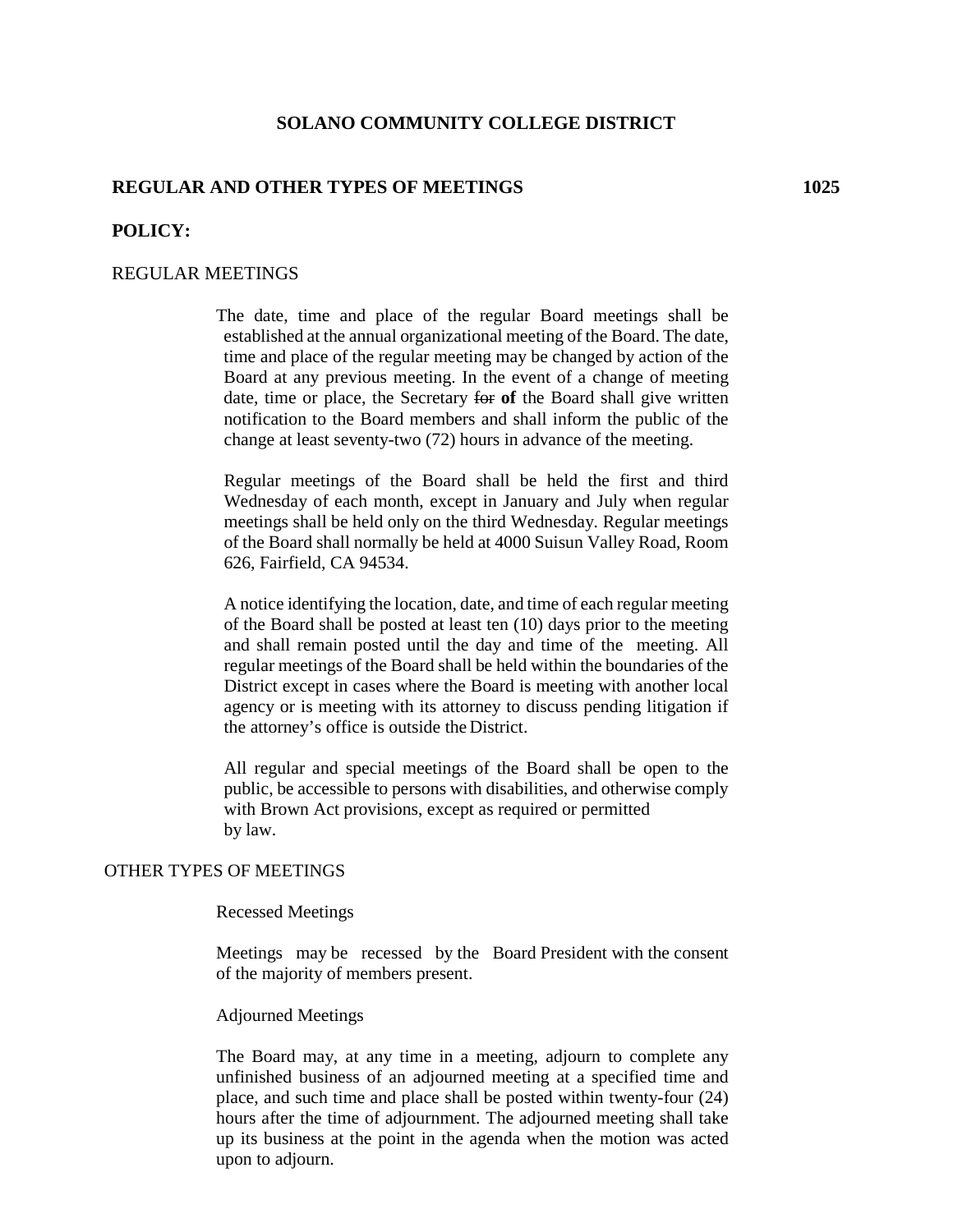## **SOLANO COMMUNITY COLLEGE DISTRICT**

# **REGULAR AND OTHER TYPES OF MEETINGS 1025**

## **POLICY:**

### REGULAR MEETINGS

The date, time and place of the regular Board meetings shall be established at the annual organizational meeting of the Board. The date, time and place of the regular meeting may be changed by action of the Board at any previous meeting. In the event of a change of meeting date, time or place, the Secretary for **of** the Board shall give written notification to the Board members and shall inform the public of the change at least seventy-two (72) hours in advance of the meeting.

Regular meetings of the Board shall be held the first and third Wednesday of each month, except in January and July when regular meetings shall be held only on the third Wednesday. Regular meetings of the Board shall normally be held at 4000 Suisun Valley Road, Room 626, Fairfield, CA 94534.

A notice identifying the location, date, and time of each regular meeting of the Board shall be posted at least ten (10) days prior to the meeting and shall remain posted until the day and time of the meeting. All regular meetings of the Board shall be held within the boundaries of the District except in cases where the Board is meeting with another local agency or is meeting with its attorney to discuss pending litigation if the attorney's office is outside the District.

All regular and special meetings of the Board shall be open to the public, be accessible to persons with disabilities, and otherwise comply with Brown Act provisions, except as required or permitted by law.

### OTHER TYPES OF MEETINGS

#### Recessed Meetings

Meetings may be recessed by the Board President with the consent of the majority of members present.

#### Adjourned Meetings

The Board may, at any time in a meeting, adjourn to complete any unfinished business of an adjourned meeting at a specified time and place, and such time and place shall be posted within twenty-four (24) hours after the time of adjournment. The adjourned meeting shall take up its business at the point in the agenda when the motion was acted upon to adjourn.